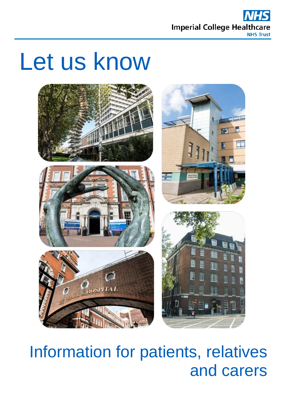

# Let us know



## Information for patients, relatives and carers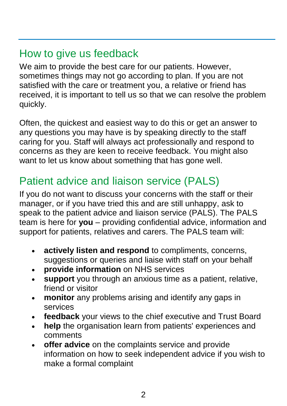#### How to give us feedback

We aim to provide the best care for our patients. However, sometimes things may not go according to plan. If you are not satisfied with the care or treatment you, a relative or friend has received, it is important to tell us so that we can resolve the problem quickly.

Often, the quickest and easiest way to do this or get an answer to any questions you may have is by speaking directly to the staff caring for you. Staff will always act professionally and respond to concerns as they are keen to receive feedback. You might also want to let us know about something that has gone well.

#### Patient advice and liaison service (PALS)

If you do not want to discuss your concerns with the staff or their manager, or if you have tried this and are still unhappy, ask to speak to the patient advice and liaison service (PALS). The PALS team is here for **you** – providing confidential advice, information and support for patients, relatives and carers. The PALS team will:

- **actively listen and respond** to compliments, concerns, suggestions or queries and liaise with staff on your behalf
- **provide information** on NHS services
- **support** you through an anxious time as a patient, relative, friend or visitor
- **monitor** any problems arising and identify any gaps in services
- **feedback** your views to the chief executive and Trust Board
- **help** the organisation learn from patients' experiences and comments
- **offer advice** on the complaints service and provide information on how to seek independent advice if you wish to make a formal complaint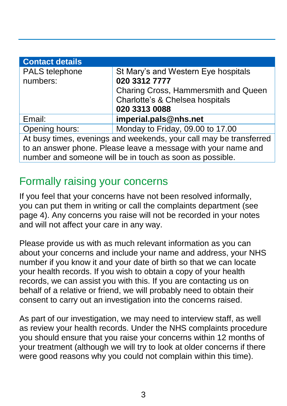| <b>Contact details</b>                                             |                                      |  |  |  |  |  |
|--------------------------------------------------------------------|--------------------------------------|--|--|--|--|--|
| PALS telephone                                                     | St Mary's and Western Eye hospitals  |  |  |  |  |  |
| numbers:                                                           | 020 3312 7777                        |  |  |  |  |  |
|                                                                    | Charing Cross, Hammersmith and Queen |  |  |  |  |  |
|                                                                    | Charlotte's & Chelsea hospitals      |  |  |  |  |  |
|                                                                    | 020 3313 0088                        |  |  |  |  |  |
| Email:                                                             | imperial.pals@nhs.net                |  |  |  |  |  |
| Opening hours:                                                     | Monday to Friday, 09.00 to 17.00     |  |  |  |  |  |
| At busy times, evenings and weekends, your call may be transferred |                                      |  |  |  |  |  |
| to an answer phone. Please leave a message with your name and      |                                      |  |  |  |  |  |
| number and someone will be in touch as soon as possible.           |                                      |  |  |  |  |  |

#### Formally raising your concerns

If you feel that your concerns have not been resolved informally, you can put them in writing or call the complaints department (see page 4). Any concerns you raise will not be recorded in your notes and will not affect your care in any way.

Please provide us with as much relevant information as you can about your concerns and include your name and address, your NHS number if you know it and your date of birth so that we can locate your health records. If you wish to obtain a copy of your health records, we can assist you with this. If you are contacting us on behalf of a relative or friend, we will probably need to obtain their consent to carry out an investigation into the concerns raised.

As part of our investigation, we may need to interview staff, as well as review your health records. Under the NHS complaints procedure you should ensure that you raise your concerns within 12 months of your treatment (although we will try to look at older concerns if there were good reasons why you could not complain within this time).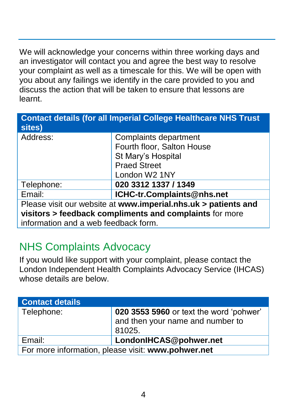We will acknowledge your concerns within three working days and an investigator will contact you and agree the best way to resolve your complaint as well as a timescale for this. We will be open with you about any failings we identify in the care provided to you and discuss the action that will be taken to ensure that lessons are learnt.

| <b>Contact details (for all Imperial College Healthcare NHS Trust</b><br>sites) |                            |  |  |  |  |  |
|---------------------------------------------------------------------------------|----------------------------|--|--|--|--|--|
| Address:                                                                        | Complaints department      |  |  |  |  |  |
|                                                                                 | Fourth floor, Salton House |  |  |  |  |  |
|                                                                                 | St Mary's Hospital         |  |  |  |  |  |
|                                                                                 | <b>Praed Street</b>        |  |  |  |  |  |
|                                                                                 | London W2 1NY              |  |  |  |  |  |
| Telephone:                                                                      | 020 3312 1337 / 1349       |  |  |  |  |  |
| Email:                                                                          | ICHC-tr.Complaints@nhs.net |  |  |  |  |  |
| Please visit our website at www.imperial.nhs.uk > patients and                  |                            |  |  |  |  |  |
| visitors > feedback compliments and complaints for more                         |                            |  |  |  |  |  |
| information and a web feedback form.                                            |                            |  |  |  |  |  |

#### NHS Complaints Advocacy

If you would like support with your complaint, please contact the London Independent Health Complaints Advocacy Service (IHCAS) whose details are below.

| <b>Contact details</b>                             |                                                                                       |  |  |  |  |
|----------------------------------------------------|---------------------------------------------------------------------------------------|--|--|--|--|
| Telephone:                                         | 020 3553 5960 or text the word 'pohwer'<br>and then your name and number to<br>81025. |  |  |  |  |
| Email:                                             | LondonIHCAS@pohwer.net                                                                |  |  |  |  |
| For more information, please visit: www.pohwer.net |                                                                                       |  |  |  |  |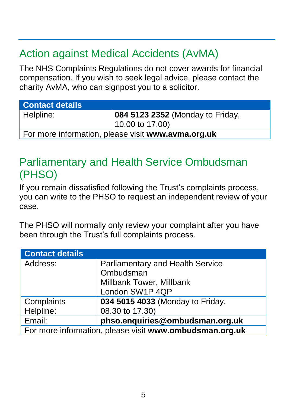### Action against Medical Accidents (AvMA)

The NHS Complaints Regulations do not cover awards for financial compensation. If you wish to seek legal advice, please contact the charity AvMA, who can signpost you to a solicitor.

| <b>Contact details</b>                             |                                  |  |  |  |  |  |
|----------------------------------------------------|----------------------------------|--|--|--|--|--|
| Helpline:                                          | 084 5123 2352 (Monday to Friday, |  |  |  |  |  |
|                                                    | $10.00$ to 17.00)                |  |  |  |  |  |
| For more information, please visit www.avma.org.uk |                                  |  |  |  |  |  |

#### Parliamentary and Health Service Ombudsman (PHSO)

If you remain dissatisfied following the Trust's complaints process, you can write to the PHSO to request an independent review of your case.

The PHSO will normally only review your complaint after you have been through the Trust's full complaints process.

| <b>Contact details</b>                                  |                                         |  |  |  |  |
|---------------------------------------------------------|-----------------------------------------|--|--|--|--|
| Address:                                                | <b>Parliamentary and Health Service</b> |  |  |  |  |
|                                                         | Ombudsman                               |  |  |  |  |
|                                                         | Millbank Tower, Millbank                |  |  |  |  |
|                                                         | London SW1P 4QP                         |  |  |  |  |
| Complaints                                              | 034 5015 4033 (Monday to Friday,        |  |  |  |  |
| Helpline:                                               | 08.30 to 17.30)                         |  |  |  |  |
| Email:                                                  | phso.enquiries@ombudsman.org.uk         |  |  |  |  |
| For more information, please visit www.ombudsman.org.uk |                                         |  |  |  |  |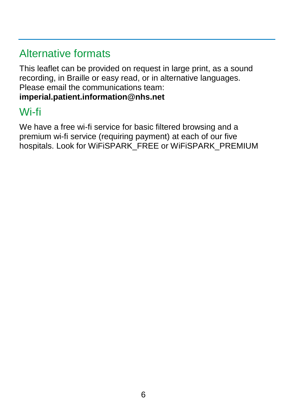#### Alternative formats

This leaflet can be provided on request in large print, as a sound recording, in Braille or easy read, or in alternative languages. Please email the communications team: **[imperial.patient.information@nhs.net](mailto:imperial.patient.information@nhs.net)**

#### Wi-fi

We have a free wi-fi service for basic filtered browsing and a premium wi-fi service (requiring payment) at each of our five hospitals. Look for WiFiSPARK\_FREE or WiFiSPARK\_PREMIUM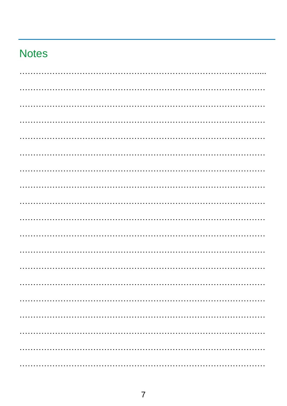#### **Notes**